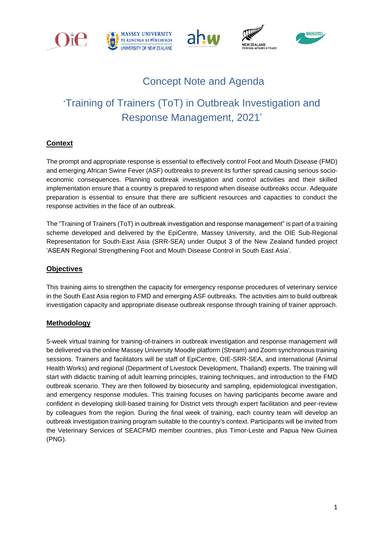







# Concept Note and Agenda

# 'Training of Trainers (ToT) in Outbreak Investigation and Response Management, 2021'

## **Context**

The prompt and appropriate response is essential to effectively control Foot and Mouth Disease (FMD) and emerging African Swine Fever (ASF) outbreaks to prevent its further spread causing serious socioeconomic consequences. Planning outbreak investigation and control activities and their skilled implementation ensure that a country is prepared to respond when disease outbreaks occur. Adequate preparation is essential to ensure that there are sufficient resources and capacities to conduct the response activities in the face of an outbreak.

The "Training of Trainers (ToT) in outbreak investigation and response management" is part of a training scheme developed and delivered by the EpiCentre, Massey University, and the OIE Sub-Regional Representation for South-East Asia (SRR-SEA) under Output 3 of the New Zealand funded project 'ASEAN Regional Strengthening Foot and Mouth Disease Control in South East Asia'.

### **Objectives**

This training aims to strengthen the capacity for emergency response procedures of veterinary service in the South East Asia region to FMD and emerging ASF outbreaks. The activities aim to build outbreak investigation capacity and appropriate disease outbreak response through training of trainer approach.

#### **Methodology**

5-week virtual training for training-of-trainers in outbreak investigation and response management will be delivered via the online Massey University Moodle platform (Stream) and Zoom synchronous training sessions. Trainers and facilitators will be staff of EpiCentre, OIE-SRR-SEA, and international (Animal Health Works) and regional (Department of Livestock Development, Thailand) experts. The training will start with didactic training of adult learning principles, training techniques, and introduction to the FMD outbreak scenario. They are then followed by biosecurity and sampling, epidemiological investigation, and emergency response modules. This training focuses on having participants become aware and confident in developing skill-based training for District vets through expert facilitation and peer-review by colleagues from the region. During the final week of training, each country team will develop an outbreak investigation training program suitable to the country's context. Participants will be invited from the Veterinary Services of SEACFMD member countries, plus Timor-Leste and Papua New Guinea (PNG).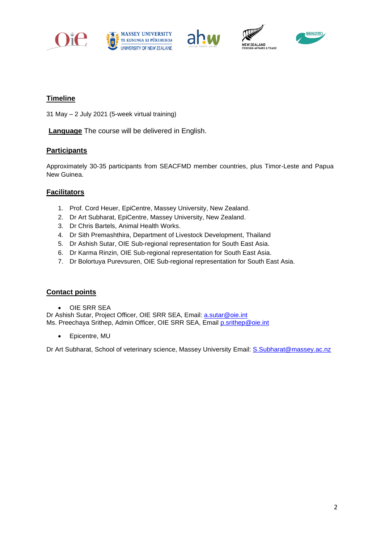









### **Timeline**

31 May – 2 July 2021 (5-week virtual training)

**Language** The course will be delivered in English.

### **Participants**

Approximately 30-35 participants from SEACFMD member countries, plus Timor-Leste and Papua New Guinea.

### **Facilitators**

- 1. Prof. Cord Heuer, EpiCentre, Massey University, New Zealand.
- 2. Dr Art Subharat, EpiCentre, Massey University, New Zealand.
- 3. Dr Chris Bartels, Animal Health Works.
- 4. Dr Sith Premashthira, Department of Livestock Development, Thailand
- 5. Dr Ashish Sutar, OIE Sub-regional representation for South East Asia.
- 6. Dr Karma Rinzin, OIE Sub-regional representation for South East Asia.
- 7. Dr Bolortuya Purevsuren, OIE Sub-regional representation for South East Asia.

#### **Contact points**

• OIE SRR SEA

Dr Ashish Sutar, Project Officer, OIE SRR SEA, Email: [a.sutar@oie.int](mailto:a.sutar@oie.int)  Ms. Preechaya Srithep, Admin Officer, OIE SRR SEA, Email [p.srithep@oie.int](mailto:p.srithep@oie.int)

• Epicentre, MU

Dr Art Subharat, School of veterinary science, Massey University Email: [S.Subharat@massey.ac.nz](mailto:S.Subharat@massey.ac.nz)